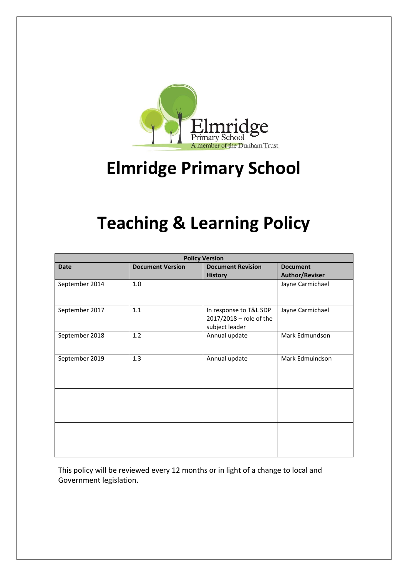

# **Elmridge Primary School**

## **Teaching & Learning Policy**

| <b>Policy Version</b> |                         |                                                                     |                                          |
|-----------------------|-------------------------|---------------------------------------------------------------------|------------------------------------------|
| <b>Date</b>           | <b>Document Version</b> | <b>Document Revision</b><br><b>History</b>                          | <b>Document</b><br><b>Author/Reviser</b> |
| September 2014        | 1.0                     |                                                                     | Jayne Carmichael                         |
| September 2017        | 1.1                     | In response to T&L SDP<br>2017/2018 - role of the<br>subject leader | Jayne Carmichael                         |
| September 2018        | 1.2                     | Annual update                                                       | Mark Edmundson                           |
| September 2019        | 1.3                     | Annual update                                                       | Mark Edmuindson                          |
|                       |                         |                                                                     |                                          |
|                       |                         |                                                                     |                                          |

This policy will be reviewed every 12 months or in light of a change to local and Government legislation.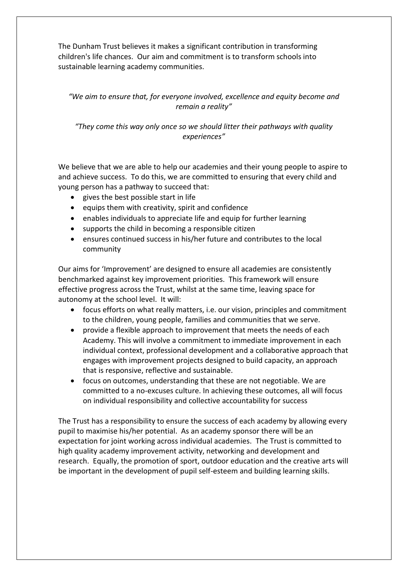The Dunham Trust believes it makes a significant contribution in transforming children's life chances. Our aim and commitment is to transform schools into sustainable learning academy communities.

## *"We aim to ensure that, for everyone involved, excellence and equity become and remain a reality"*

*"They come this way only once so we should litter their pathways with quality experiences"*

We believe that we are able to help our academies and their young people to aspire to and achieve success. To do this, we are committed to ensuring that every child and young person has a pathway to succeed that:

- gives the best possible start in life
- $\bullet$  equips them with creativity, spirit and confidence
- enables individuals to appreciate life and equip for further learning
- supports the child in becoming a responsible citizen
- ensures continued success in his/her future and contributes to the local community

Our aims for 'Improvement' are designed to ensure all academies are consistently benchmarked against key improvement priorities. This framework will ensure effective progress across the Trust, whilst at the same time, leaving space for autonomy at the school level. It will:

- focus efforts on what really matters, i.e. our vision, principles and commitment to the children, young people, families and communities that we serve.
- provide a flexible approach to improvement that meets the needs of each Academy. This will involve a commitment to immediate improvement in each individual context, professional development and a collaborative approach that engages with improvement projects designed to build capacity, an approach that is responsive, reflective and sustainable.
- focus on outcomes, understanding that these are not negotiable. We are committed to a no-excuses culture. In achieving these outcomes, all will focus on individual responsibility and collective accountability for success

The Trust has a responsibility to ensure the success of each academy by allowing every pupil to maximise his/her potential. As an academy sponsor there will be an expectation for joint working across individual academies. The Trust is committed to high quality academy improvement activity, networking and development and research. Equally, the promotion of sport, outdoor education and the creative arts will be important in the development of pupil self-esteem and building learning skills.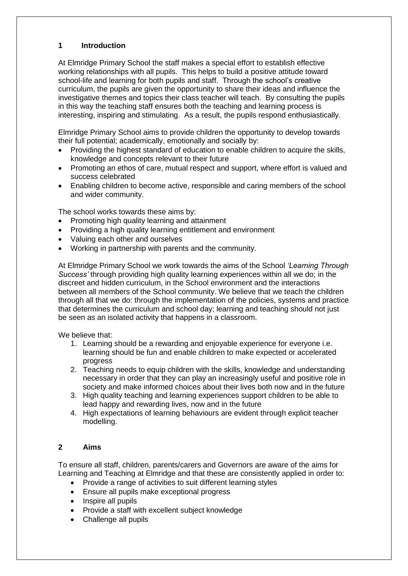## **1 Introduction**

At Elmridge Primary School the staff makes a special effort to establish effective working relationships with all pupils. This helps to build a positive attitude toward school-life and learning for both pupils and staff. Through the school's creative curriculum, the pupils are given the opportunity to share their ideas and influence the investigative themes and topics their class teacher will teach. By consulting the pupils in this way the teaching staff ensures both the teaching and learning process is interesting, inspiring and stimulating. As a result, the pupils respond enthusiastically.

Elmridge Primary School aims to provide children the opportunity to develop towards their full potential; academically, emotionally and socially by:

- Providing the highest standard of education to enable children to acquire the skills, knowledge and concepts relevant to their future
- Promoting an ethos of care, mutual respect and support, where effort is valued and success celebrated
- Enabling children to become active, responsible and caring members of the school and wider community.

The school works towards these aims by:

- Promoting high quality learning and attainment
- Providing a high quality learning entitlement and environment
- Valuing each other and ourselves
- Working in partnership with parents and the community.

At Elmridge Primary School we work towards the aims of the School *'Learning Through Success'* through providing high quality learning experiences within all we do; in the discreet and hidden curriculum, in the School environment and the interactions between all members of the School community. We believe that we teach the children through all that we do: through the implementation of the policies, systems and practice that determines the curriculum and school day; learning and teaching should not just be seen as an isolated activity that happens in a classroom.

We believe that:

- 1. Learning should be a rewarding and enjoyable experience for everyone i.e. learning should be fun and enable children to make expected or accelerated progress
- 2. Teaching needs to equip children with the skills, knowledge and understanding necessary in order that they can play an increasingly useful and positive role in society and make informed choices about their lives both now and in the future
- 3. High quality teaching and learning experiences support children to be able to lead happy and rewarding lives, now and in the future
- 4. High expectations of learning behaviours are evident through explicit teacher modelling.

## **2 Aims**

To ensure all staff, children, parents/carers and Governors are aware of the aims for Learning and Teaching at Elmridge and that these are consistently applied in order to:

- Provide a range of activities to suit different learning styles
- Ensure all pupils make exceptional progress
- Inspire all pupils
- Provide a staff with excellent subject knowledge
- Challenge all pupils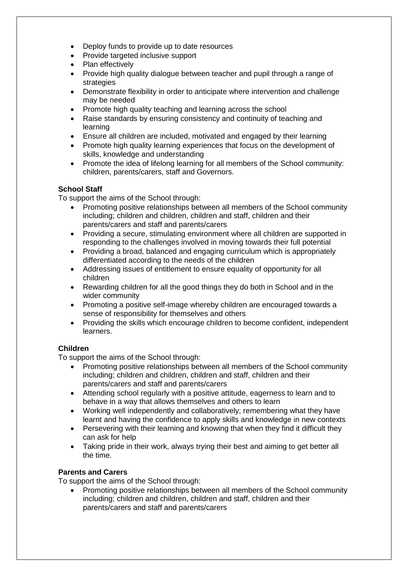- Deploy funds to provide up to date resources
- Provide targeted inclusive support
- Plan effectively
- Provide high quality dialogue between teacher and pupil through a range of strategies
- Demonstrate flexibility in order to anticipate where intervention and challenge may be needed
- Promote high quality teaching and learning across the school
- Raise standards by ensuring consistency and continuity of teaching and learning
- Ensure all children are included, motivated and engaged by their learning
- Promote high quality learning experiences that focus on the development of skills, knowledge and understanding
- Promote the idea of lifelong learning for all members of the School community: children, parents/carers, staff and Governors.

## **School Staff**

To support the aims of the School through:

- Promoting positive relationships between all members of the School community including; children and children, children and staff, children and their parents/carers and staff and parents/carers
- Providing a secure, stimulating environment where all children are supported in responding to the challenges involved in moving towards their full potential
- Providing a broad, balanced and engaging curriculum which is appropriately differentiated according to the needs of the children
- Addressing issues of entitlement to ensure equality of opportunity for all children
- Rewarding children for all the good things they do both in School and in the wider community
- Promoting a positive self-image whereby children are encouraged towards a sense of responsibility for themselves and others
- Providing the skills which encourage children to become confident, independent learners.

## **Children**

To support the aims of the School through:

- Promoting positive relationships between all members of the School community including; children and children, children and staff, children and their parents/carers and staff and parents/carers
- Attending school regularly with a positive attitude, eagerness to learn and to behave in a way that allows themselves and others to learn
- Working well independently and collaboratively; remembering what they have learnt and having the confidence to apply skills and knowledge in new contexts
- Persevering with their learning and knowing that when they find it difficult they can ask for help
- Taking pride in their work, always trying their best and aiming to get better all the time.

## **Parents and Carers**

To support the aims of the School through:

• Promoting positive relationships between all members of the School community including; children and children, children and staff, children and their parents/carers and staff and parents/carers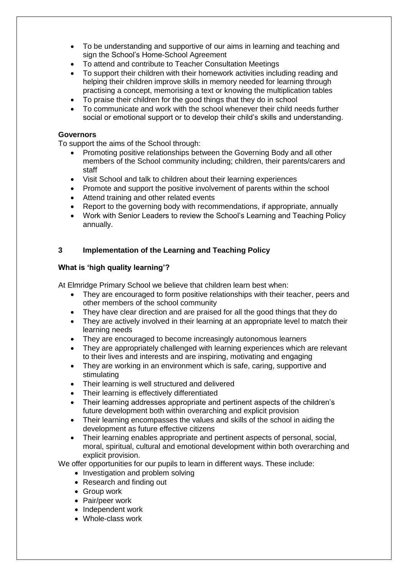- To be understanding and supportive of our aims in learning and teaching and sign the School's Home-School Agreement
- To attend and contribute to Teacher Consultation Meetings
- To support their children with their homework activities including reading and helping their children improve skills in memory needed for learning through practising a concept, memorising a text or knowing the multiplication tables
- To praise their children for the good things that they do in school
- To communicate and work with the school whenever their child needs further social or emotional support or to develop their child's skills and understanding.

#### **Governors**

To support the aims of the School through:

- Promoting positive relationships between the Governing Body and all other members of the School community including; children, their parents/carers and staff
- Visit School and talk to children about their learning experiences
- Promote and support the positive involvement of parents within the school
- Attend training and other related events
- Report to the governing body with recommendations, if appropriate, annually
- Work with Senior Leaders to review the School's Learning and Teaching Policy annually.

## **3 Implementation of the Learning and Teaching Policy**

## **What is 'high quality learning'?**

At Elmridge Primary School we believe that children learn best when:

- They are encouraged to form positive relationships with their teacher, peers and other members of the school community
- They have clear direction and are praised for all the good things that they do
- They are actively involved in their learning at an appropriate level to match their learning needs
- They are encouraged to become increasingly autonomous learners
- They are appropriately challenged with learning experiences which are relevant to their lives and interests and are inspiring, motivating and engaging
- They are working in an environment which is safe, caring, supportive and stimulating
- Their learning is well structured and delivered
- Their learning is effectively differentiated
- Their learning addresses appropriate and pertinent aspects of the children's future development both within overarching and explicit provision
- Their learning encompasses the values and skills of the school in aiding the development as future effective citizens
- Their learning enables appropriate and pertinent aspects of personal, social, moral, spiritual, cultural and emotional development within both overarching and explicit provision.

We offer opportunities for our pupils to learn in different ways. These include:

- Investigation and problem solving
- Research and finding out
- Group work
- Pair/peer work
- Independent work
- Whole-class work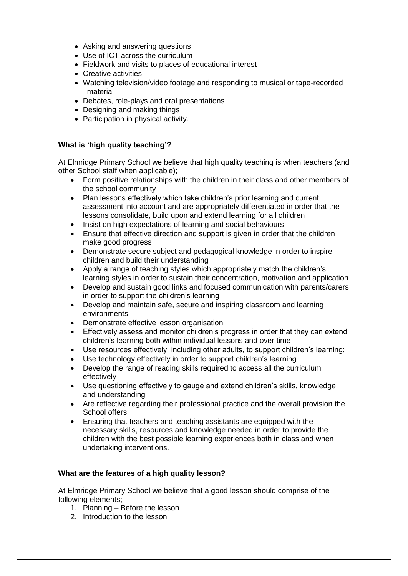- Asking and answering questions
- Use of ICT across the curriculum
- Fieldwork and visits to places of educational interest
- Creative activities
- Watching television/video footage and responding to musical or tape-recorded material
- Debates, role-plays and oral presentations
- Designing and making things
- Participation in physical activity.

## **What is 'high quality teaching'?**

At Elmridge Primary School we believe that high quality teaching is when teachers (and other School staff when applicable);

- Form positive relationships with the children in their class and other members of the school community
- Plan lessons effectively which take children's prior learning and current assessment into account and are appropriately differentiated in order that the lessons consolidate, build upon and extend learning for all children
- Insist on high expectations of learning and social behaviours
- Ensure that effective direction and support is given in order that the children make good progress
- Demonstrate secure subject and pedagogical knowledge in order to inspire children and build their understanding
- Apply a range of teaching styles which appropriately match the children's learning styles in order to sustain their concentration, motivation and application
- Develop and sustain good links and focused communication with parents/carers in order to support the children's learning
- Develop and maintain safe, secure and inspiring classroom and learning environments
- Demonstrate effective lesson organisation
- Effectively assess and monitor children's progress in order that they can extend children's learning both within individual lessons and over time
- Use resources effectively, including other adults, to support children's learning;
- Use technology effectively in order to support children's learning
- Develop the range of reading skills required to access all the curriculum effectively
- Use questioning effectively to gauge and extend children's skills, knowledge and understanding
- Are reflective regarding their professional practice and the overall provision the School offers
- Ensuring that teachers and teaching assistants are equipped with the necessary skills, resources and knowledge needed in order to provide the children with the best possible learning experiences both in class and when undertaking interventions.

## **What are the features of a high quality lesson?**

At Elmridge Primary School we believe that a good lesson should comprise of the following elements;

- 1. Planning Before the lesson
- 2. Introduction to the lesson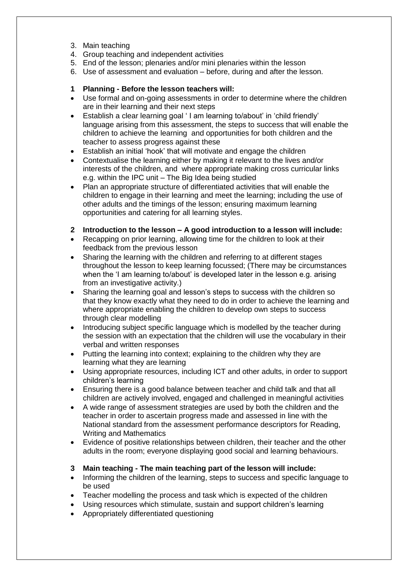- 3. Main teaching
- 4. Group teaching and independent activities
- 5. End of the lesson; plenaries and/or mini plenaries within the lesson
- 6. Use of assessment and evaluation before, during and after the lesson.

## **1 Planning - Before the lesson teachers will:**

- Use formal and on-going assessments in order to determine where the children are in their learning and their next steps
- Establish a clear learning goal ' I am learning to/about' in 'child friendly' language arising from this assessment, the steps to success that will enable the children to achieve the learning and opportunities for both children and the teacher to assess progress against these
- Establish an initial 'hook' that will motivate and engage the children
- Contextualise the learning either by making it relevant to the lives and/or interests of the children, and where appropriate making cross curricular links e.g. within the IPC unit – The Big Idea being studied
- Plan an appropriate structure of differentiated activities that will enable the children to engage in their learning and meet the learning; including the use of other adults and the timings of the lesson; ensuring maximum learning opportunities and catering for all learning styles.
- **2 Introduction to the lesson – A good introduction to a lesson will include:**
- Recapping on prior learning, allowing time for the children to look at their feedback from the previous lesson
- Sharing the learning with the children and referring to at different stages throughout the lesson to keep learning focussed; (There may be circumstances when the 'I am learning to/about' is developed later in the lesson e.g. arising from an investigative activity.)
- Sharing the learning goal and lesson's steps to success with the children so that they know exactly what they need to do in order to achieve the learning and where appropriate enabling the children to develop own steps to success through clear modelling
- Introducing subject specific language which is modelled by the teacher during the session with an expectation that the children will use the vocabulary in their verbal and written responses
- Putting the learning into context; explaining to the children why they are learning what they are learning
- Using appropriate resources, including ICT and other adults, in order to support children's learning
- Ensuring there is a good balance between teacher and child talk and that all children are actively involved, engaged and challenged in meaningful activities
- A wide range of assessment strategies are used by both the children and the teacher in order to ascertain progress made and assessed in line with the National standard from the assessment performance descriptors for Reading, Writing and Mathematics
- Evidence of positive relationships between children, their teacher and the other adults in the room; everyone displaying good social and learning behaviours.
- **3 Main teaching - The main teaching part of the lesson will include:**
- Informing the children of the learning, steps to success and specific language to be used
- Teacher modelling the process and task which is expected of the children
- Using resources which stimulate, sustain and support children's learning
- Appropriately differentiated questioning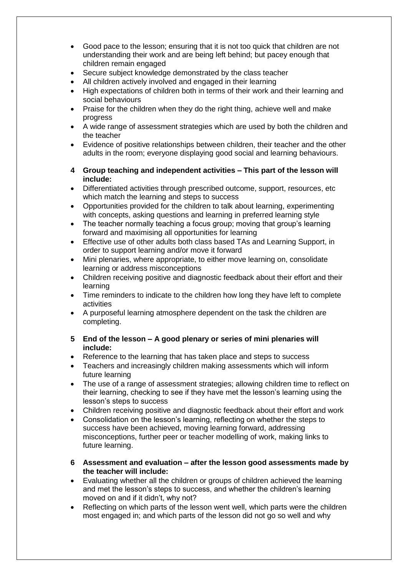- Good pace to the lesson; ensuring that it is not too quick that children are not understanding their work and are being left behind; but pacey enough that children remain engaged
- Secure subject knowledge demonstrated by the class teacher
- All children actively involved and engaged in their learning
- High expectations of children both in terms of their work and their learning and social behaviours
- Praise for the children when they do the right thing, achieve well and make progress
- A wide range of assessment strategies which are used by both the children and the teacher
- Evidence of positive relationships between children, their teacher and the other adults in the room; everyone displaying good social and learning behaviours.
- **4 Group teaching and independent activities – This part of the lesson will include:**
- Differentiated activities through prescribed outcome, support, resources, etc which match the learning and steps to success
- Opportunities provided for the children to talk about learning, experimenting with concepts, asking questions and learning in preferred learning style
- The teacher normally teaching a focus group; moving that group's learning forward and maximising all opportunities for learning
- Effective use of other adults both class based TAs and Learning Support, in order to support learning and/or move it forward
- Mini plenaries, where appropriate, to either move learning on, consolidate learning or address misconceptions
- Children receiving positive and diagnostic feedback about their effort and their learning
- Time reminders to indicate to the children how long they have left to complete activities
- A purposeful learning atmosphere dependent on the task the children are completing.
- **5 End of the lesson – A good plenary or series of mini plenaries will include:**
- Reference to the learning that has taken place and steps to success
- Teachers and increasingly children making assessments which will inform future learning
- The use of a range of assessment strategies; allowing children time to reflect on their learning, checking to see if they have met the lesson's learning using the lesson's steps to success
- Children receiving positive and diagnostic feedback about their effort and work
- Consolidation on the lesson's learning, reflecting on whether the steps to success have been achieved, moving learning forward, addressing misconceptions, further peer or teacher modelling of work, making links to future learning.
- **6 Assessment and evaluation – after the lesson good assessments made by the teacher will include:**
- Evaluating whether all the children or groups of children achieved the learning and met the lesson's steps to success, and whether the children's learning moved on and if it didn't, why not?
- Reflecting on which parts of the lesson went well, which parts were the children most engaged in; and which parts of the lesson did not go so well and why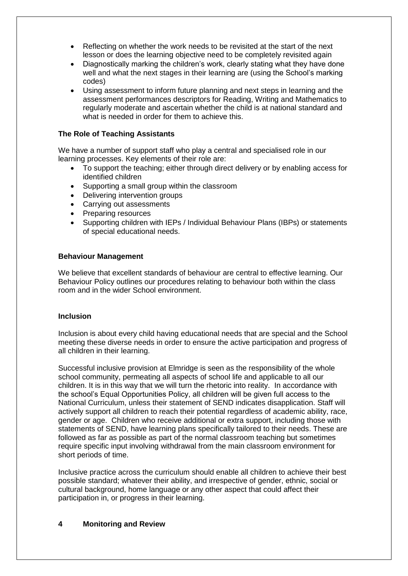- Reflecting on whether the work needs to be revisited at the start of the next lesson or does the learning objective need to be completely revisited again
- Diagnostically marking the children's work, clearly stating what they have done well and what the next stages in their learning are (using the School's marking codes)
- Using assessment to inform future planning and next steps in learning and the assessment performances descriptors for Reading, Writing and Mathematics to regularly moderate and ascertain whether the child is at national standard and what is needed in order for them to achieve this.

## **The Role of Teaching Assistants**

We have a number of support staff who play a central and specialised role in our learning processes. Key elements of their role are:

- To support the teaching; either through direct delivery or by enabling access for identified children
- Supporting a small group within the classroom
- Delivering intervention groups
- Carrying out assessments
- Preparing resources
- Supporting children with IEPs / Individual Behaviour Plans (IBPs) or statements of special educational needs.

## **Behaviour Management**

We believe that excellent standards of behaviour are central to effective learning. Our Behaviour Policy outlines our procedures relating to behaviour both within the class room and in the wider School environment.

#### **Inclusion**

Inclusion is about every child having educational needs that are special and the School meeting these diverse needs in order to ensure the active participation and progress of all children in their learning.

Successful inclusive provision at Elmridge is seen as the responsibility of the whole school community, permeating all aspects of school life and applicable to all our children. It is in this way that we will turn the rhetoric into reality. In accordance with the school's Equal Opportunities Policy, all children will be given full access to the National Curriculum, unless their statement of SEND indicates disapplication. Staff will actively support all children to reach their potential regardless of academic ability, race, gender or age. Children who receive additional or extra support, including those with statements of SEND, have learning plans specifically tailored to their needs. These are followed as far as possible as part of the normal classroom teaching but sometimes require specific input involving withdrawal from the main classroom environment for short periods of time.

Inclusive practice across the curriculum should enable all children to achieve their best possible standard; whatever their ability, and irrespective of gender, ethnic, social or cultural background, home language or any other aspect that could affect their participation in, or progress in their learning.

## **4 Monitoring and Review**